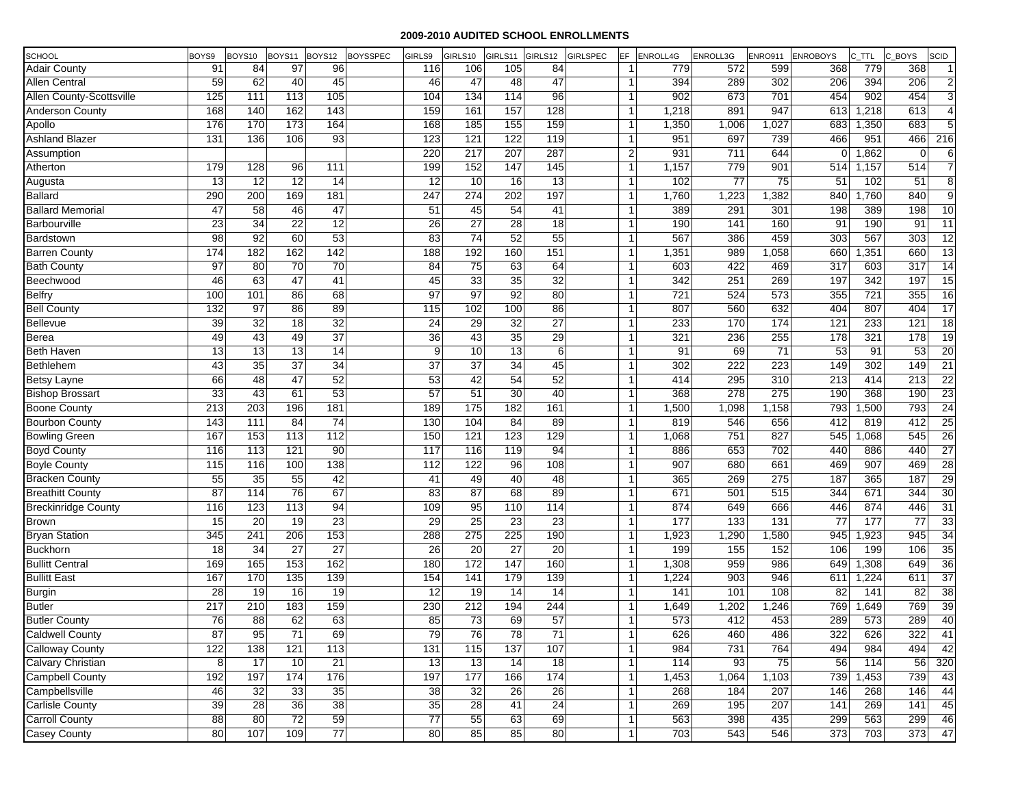| SCHOOL                     | BOYS9            | BOYS10           | BOYS11          | BOYS12          | <b>BOYSSPEC</b> | GIRLS9          | GIRLS10         | GIRLS11         | GIRLS12         | <b>GIRLSPEC</b> | EF.            | <b>ENROLL4G</b>  | ENROLL3G         | <b>ENRO911</b>   | <b>ENROBOYS</b>  | C_TTL | C_BOYS<br><b>SCID</b>  |
|----------------------------|------------------|------------------|-----------------|-----------------|-----------------|-----------------|-----------------|-----------------|-----------------|-----------------|----------------|------------------|------------------|------------------|------------------|-------|------------------------|
| <b>Adair County</b>        | 91               | 84               | 97              | 96              |                 | 116             | 106             | 105             | 84              |                 | $\mathbf{1}$   | 779              | 572              | 599              | 368              | 779   | 368<br>$\vert$ 1       |
| <b>Allen Central</b>       | 59               | 62               | 40              | 45              |                 | 46              | 47              | 48              | 47              |                 | $\mathbf{1}$   | 394              | 289              | 302              | 206              | 394   | $\overline{2}$<br>206  |
| Allen County-Scottsville   | 125              | 111              | 113             | 105             |                 | 104             | 134             | 114             | 96              |                 | $\mathbf{1}$   | 902              | 673              | 701              | 454              | 902   | $\overline{3}$<br>454  |
| <b>Anderson County</b>     | 168              | 140              | 162             | 143             |                 | 159             | 161             | 157             | 128             |                 | $\mathbf{1}$   | 1,218            | 891              | 947              | 613              | 1,218 | 613<br>$\overline{4}$  |
| Apollo                     | 176              | 170              | 173             | 164             |                 | 168             | 185             | 155             | 159             |                 | $\mathbf{1}$   | 1,350            | 1,006            | 1,027            | 683              | 1,350 | 5 <sub>l</sub><br>683  |
| <b>Ashland Blazer</b>      | 131              | 136              | 106             | 93              |                 | 123             | 121             | 122             | 119             |                 | $\mathbf{1}$   | 951              | 697              | 739              | 466              | 951   | 216<br>466             |
| Assumption                 |                  |                  |                 |                 |                 | 220             | 217             | 207             | 287             |                 | $\overline{2}$ | 931              | 711              | 644              | $\Omega$         | 1,862 | 6<br>$\mathbf 0$       |
| Atherton                   | 179              | 128              | 96              | 111             |                 | 199             | 152             | 147             | 145             |                 | $\mathbf{1}$   | 1,157            | 779              | 901              | 514              | 1,157 | $\overline{7}$<br>514  |
| Augusta                    | 13               | 12               | 12              | 14              |                 | 12              | 10              | 16              | 13              |                 | $\mathbf{1}$   | 102              | 77               | 75               | 51               | 102   | $\overline{8}$<br>51   |
| <b>Ballard</b>             | 290              | 200              | 169             | 181             |                 | 247             | 274             | 202             | 197             |                 | $\mathbf{1}$   | 1,760            | 1,223            | 1,382            | 840              | 1,760 | $\overline{9}$<br>840  |
| <b>Ballard Memorial</b>    | 47               | 58               | 46              | 47              |                 | 51              | 45              | 54              | 41              |                 | $\mathbf{1}$   | 389              | 291              | 301              | 198              | 389   | 10<br>198              |
| Barbourville               | 23               | 34               | $\overline{22}$ | 12              |                 | 26              | 27              | 28              | 18              |                 | $\mathbf{1}$   | 190              | 141              | 160              | 91               | 190   | 11<br>91               |
| Bardstown                  | 98               | 92               | 60              | $\overline{53}$ |                 | 83              | 74              | 52              | 55              |                 | $\mathbf{1}$   | 567              | 386              | 459              | 303              | 567   | 12<br>303              |
| <b>Barren County</b>       | 174              | 182              | 162             | 142             |                 | 188             | 192             | 160             | 151             |                 | $\mathbf{1}$   | 1,351            | 989              | 1,058            | 660              | 1,351 | 13<br>660              |
| <b>Bath County</b>         | 97               | 80               | $\overline{70}$ | 70              |                 | 84              | 75              | 63              | 64              |                 | $\mathbf{1}$   | 603              | 422              | 469              | 317              | 603   | 14<br>317              |
| Beechwood                  | 46               | 63               | 47              | 41              |                 | 45              | 33              | 35              | 32              |                 | $\mathbf{1}$   | 342              | 251              | 269              | 197              | 342   | 15<br>197              |
| <b>Belfry</b>              | 100              | 101              | 86              | 68              |                 | 97              | 97              | 92              | 80              |                 | 1              | 721              | 524              | 573              | 355              | 721   | 355<br>16              |
| <b>Bell County</b>         | 132              | 97               | 86              | 89              |                 | 115             | 102             | 100             | 86              |                 | $\mathbf{1}$   | 807              | 560              | 632              | 404              | 807   | 17<br>404              |
| <b>Bellevue</b>            | 39               | 32               | 18              | 32              |                 | 24              | 29              | 32              | $\overline{27}$ |                 | -1             | 233              | 170              | 174              | 121              | 233   | 18<br>121              |
| <b>Berea</b>               | 49               | 43               | 49              | $\overline{37}$ |                 | 36              | 43              | 35              | 29              |                 | $\mathbf{1}$   | 321              | 236              | 255              | 178              | 321   | 19<br>178              |
| <b>Beth Haven</b>          | 13               | 13               | $\overline{13}$ | 14              |                 | 9               | 10              | 13              | 6               |                 | $\mathbf{1}$   | 91               | 69               | 71               | 53               | 91    | 20<br>53               |
| Bethlehem                  | 43               | $\overline{35}$  | $\overline{37}$ | $\overline{34}$ |                 | $\overline{37}$ | $\overline{37}$ | $\overline{34}$ | 45              |                 | -1             | 302              | $\overline{222}$ | 223              | 149              | 302   | 21<br>149              |
| <b>Betsy Layne</b>         | 66               | 48               | 47              | 52              |                 | 53              | 42              | 54              | 52              |                 | 1              | 414              | 295              | 310              | $\overline{213}$ | 414   | $\overline{22}$<br>213 |
| <b>Bishop Brossart</b>     | 33               | 43               | 61              | 53              |                 | 57              | 51              | $\overline{30}$ | 40              |                 | $\mathbf{1}$   | 368              | 278              | $\overline{275}$ | 190              | 368   | 23<br>190              |
| <b>Boone County</b>        | $\overline{213}$ | 203              | 196             | 181             |                 | 189             | $\frac{175}{2}$ | 182             | 161             |                 | $\mathbf{1}$   | 1,500            | 1,098            | 1,158            | 793              | 1,500 | 24<br>793              |
| <b>Bourbon County</b>      | 143              | $\overline{111}$ | 84              | $\overline{74}$ |                 | 130             | 104             | 84              | 89              |                 | $\mathbf{1}$   | 819              | 546              | 656              | 412              | 819   | 25<br>412              |
| <b>Bowling Green</b>       | 167              | 153              | 113             | 112             |                 | 150             | 121             | 123             | 129             |                 | $\mathbf{1}$   | 1,068            | 751              | 827              | 545              | 1,068 | 26<br>545              |
| <b>Boyd County</b>         | 116              | 113              | 121             | 90              |                 | 117             | 116             | 119             | 94              |                 | $\mathbf{1}$   | 886              | 653              | 702              | 440              | 886   | 27<br>440              |
| <b>Boyle County</b>        | 115              | 116              | 100             | 138             |                 | 112             | 122             | 96              | 108             |                 | $\mathbf{1}$   | 907              | 680              | 661              | 469              | 907   | 28<br>469              |
| <b>Bracken County</b>      | 55               | 35               | 55              | 42              |                 | 41              | 49              | 40              | 48              |                 | $\mathbf{1}$   | 365              | 269              | 275              | 187              | 365   | 29<br>187              |
| <b>Breathitt County</b>    | 87               | 114              | 76              | 67              |                 | 83              | 87              | 68              | 89              |                 | $\mathbf{1}$   | 671              | 501              | 515              | 344              | 671   | 30<br>344              |
| <b>Breckinridge County</b> | 116              | 123              | 113             | 94              |                 | 109             | 95              | 110             | 114             |                 | $\mathbf{1}$   | 874              | 649              | 666              | 446              | 874   | 31<br>446              |
| <b>Brown</b>               | 15               | $\overline{20}$  | 19              | $\overline{23}$ |                 | 29              | $\overline{25}$ | $\overline{23}$ | 23              |                 | $\mathbf{1}$   | $\overline{177}$ | $\overline{133}$ | 131              | 77               | 177   | 33<br>77               |
| <b>Bryan Station</b>       | 345              | 241              | 206             | 153             |                 | 288             | 275             | 225             | 190             |                 | $\mathbf{1}$   | 1,923            | 1,290            | 1,580            | 945              | 1,923 | 34<br>945              |
| <b>Buckhorn</b>            | 18               | 34               | 27              | 27              |                 | 26              | $\overline{20}$ | $\overline{27}$ | 20              |                 | $\mathbf{1}$   | 199              | 155              | 152              | 106              | 199   | $\overline{35}$<br>106 |
| <b>Bullitt Central</b>     | 169              | 165              | 153             | 162             |                 | 180             | 172             | 147             | 160             |                 | $\mathbf{1}$   | 1,308            | 959              | 986              | 649              | 1,308 | 36<br>649              |
| <b>Bullitt East</b>        | 167              | 170              | 135             | 139             |                 | 154             | 141             | 179             | 139             |                 | $\mathbf{1}$   | 1,224            | 903              | 946              | 611              | 1,224 | $\overline{37}$<br>611 |
| Burgin                     | 28               | 19               | 16              | 19              |                 | $\overline{12}$ | 19              | 14              | 14              |                 | $\mathbf{1}$   | 141              | 101              | 108              | 82               | 141   | 38<br>$\overline{82}$  |
| <b>Butler</b>              | 217              | 210              | 183             | 159             |                 | 230             | 212             | 194             | 244             |                 | $\mathbf{1}$   | 1,649            | 1,202            | 1,246            | 769              | 1,649 | 39<br>769              |
| <b>Butler County</b>       | 76               | $\overline{88}$  | 62              | 63              |                 | 85              | 73              | 69              | 57              |                 | $\mathbf{1}$   | 573              | 412              | 453              | 289              | 573   | 40<br>289              |
| <b>Caldwell County</b>     | 87               | 95               | 71              | 69              |                 | 79              | 76              | 78              | 71              |                 | $\mathbf{1}$   | 626              | 460              | 486              | 322              | 626   | 322<br>41              |
| <b>Calloway County</b>     | 122              | 138              | 121             | 113             |                 | 131             | 115             | 137             | 107             |                 | $\vert$        | 984              | 731              | 764              | 494              | 984   | 494<br>42              |
| Calvary Christian          | 8                | 17               | 10              | 21              |                 | 13              | 13              | 14              | 18              |                 | $\mathbf{1}$   | 114              | 93               | 75               | 56               | 114   | 320<br>56              |
| <b>Campbell County</b>     | 192              | 197              | 174             | 176             |                 | 197             | 177             | 166             | 174             |                 | $\mathbf{1}$   | 1,453            | 1,064            | 1,103            | 739              | 1,453 | 43<br>739              |
| Campbellsville             | 46               | 32               | 33              | 35              |                 | 38              | 32              | 26              | 26              |                 | $\mathbf{1}$   | 268              | 184              | 207              | 146              | 268   | 44<br>146              |
| Carlisle County            | 39               | 28               | 36              | 38              |                 | 35              | $\overline{28}$ | 41              | 24              |                 | $\mathbf{1}$   | 269              | 195              | 207              | 141              | 269   | 141<br>45              |
| <b>Carroll County</b>      | 88               | 80               | 72              | 59              |                 | $\overline{77}$ | 55              | 63              | 69              |                 | $\mathbf{1}$   | 563              | 398              | 435              | 299              | 563   | 46<br>299              |
| <b>Casey County</b>        | 80               | 107              | 109             | $\overline{77}$ |                 | 80              | 85              | 85              | 80              |                 | $\mathbf{1}$   | 703              | 543              | 546              | 373              | 703   | 373<br>47              |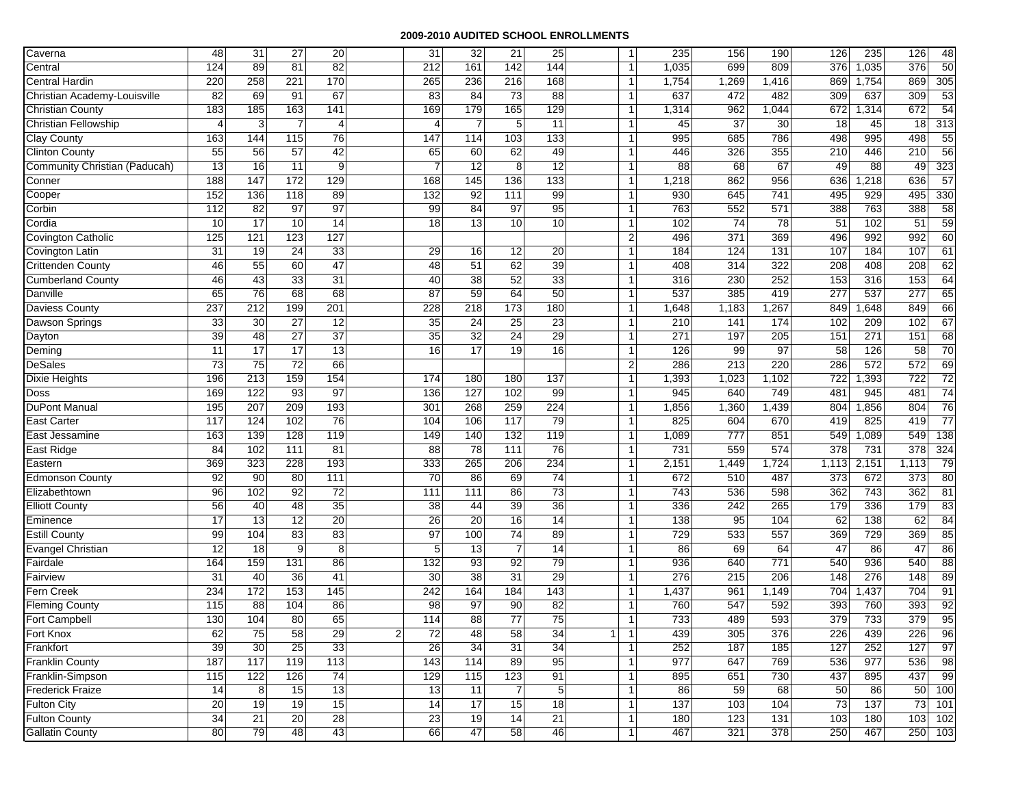| Caverna                       | 48              | 31               | $\overline{27}$ | 20               |                | 31              | 32              | 21               | 25              | $\mathbf{1}$                   | 235   | 156   | 190   | 126   | 235   | 126   | 48              |
|-------------------------------|-----------------|------------------|-----------------|------------------|----------------|-----------------|-----------------|------------------|-----------------|--------------------------------|-------|-------|-------|-------|-------|-------|-----------------|
| Central                       | 124             | 89               | 81              | $\overline{82}$  |                | 212             | 161             | 142              | 144             | -1                             | 1,035 | 699   | 809   | 376   | 1,035 | 376   | 50              |
| <b>Central Hardin</b>         | 220             | 258              | 221             | 170              |                | 265             | 236             | 216              | 168             | $\overline{1}$                 | 1,754 | 1,269 | 1,416 | 869   | 1,754 | 869   | 305             |
| Christian Academy-Louisville  | $\overline{82}$ | 69               | 91              | 67               |                | 83              | 84              | 73               | 88              | $\mathbf{1}$                   | 637   | 472   | 482   | 309   | 637   | 309   | 53              |
| <b>Christian County</b>       | 183             | 185              | 163             | 141              |                | 169             | 179             | 165              | 129             | $\mathbf{1}$                   | 1,314 | 962   | 1,044 | 672   | 1,314 | 672   | 54              |
| Christian Fellowship          | $\overline{4}$  | 3                | $\overline{7}$  | $\overline{4}$   |                | $\overline{4}$  | $\overline{7}$  | $5\overline{)}$  | 11              | $\overline{1}$                 | 45    | 37    | 30    | 18    | 45    | 18    | 313             |
| <b>Clay County</b>            | 163             | 144              | 115             | 76               |                | 147             | 114             | 103              | 133             | -1                             | 995   | 685   | 786   | 498   | 995   | 498   | 55              |
| <b>Clinton County</b>         | 55              | 56               | 57              | 42               |                | 65              | 60              | 62               | 49              | -1                             | 446   | 326   | 355   | 210   | 446   | 210   | 56              |
| Community Christian (Paducah) | 13              | 16               | 11              | 9                |                | 7               | 12              | 8                | $\overline{12}$ | $\overline{1}$                 | 88    | 68    | 67    | 49    | 88    | 49    | 323             |
| Conner                        | 188             | 147              | 172             | 129              |                | 168             | $\frac{145}{2}$ | 136              | 133             | -1                             | 1,218 | 862   | 956   | 636   | 1,218 | 636   | 57              |
| Cooper                        | 152             | 136              | 118             | 89               |                | 132             | 92              | $\overline{111}$ | 99              | $\overline{1}$                 | 930   | 645   | 741   | 495   | 929   | 495   | 330             |
| Corbin                        | 112             | 82               | 97              | 97               |                | 99              | 84              | 97               | 95              | $\mathbf{1}$                   | 763   | 552   | 571   | 388   | 763   | 388   | 58              |
| Cordia                        | 10              | 17               | 10              | 14               |                | 18              | 13              | 10 <sup>1</sup>  | 10              | -1                             | 102   | 74    | 78    | 51    | 102   | 51    | 59              |
| <b>Covington Catholic</b>     | 125             | $\overline{121}$ | 123             | 127              |                |                 |                 |                  |                 | $\sqrt{2}$                     | 496   | 371   | 369   | 496   | 992   | 992   | 60              |
| Covington Latin               | 31              | 19               | 24              | 33               |                | 29              | 16              | 12               | 20              | 1                              | 184   | 124   | 131   | 107   | 184   | 107   | 61              |
| <b>Crittenden County</b>      | 46              | 55               | 60              | 47               |                | 48              | 51              | 62               | 39              | -1                             | 408   | 314   | 322   | 208   | 408   | 208   | 62              |
| <b>Cumberland County</b>      | 46              | 43               | 33              | $\overline{31}$  |                | 40              | $\overline{38}$ | 52               | 33              | $\overline{1}$                 | 316   | 230   | 252   | 153   | 316   | 153   | 64              |
| Danville                      | 65              | 76               | 68              | 68               |                | 87              | 59              | 64               | 50              | -1                             | 537   | 385   | 419   | 277   | 537   | 277   | 65              |
| Daviess County                | 237             | 212              | 199             | 201              |                | 228             | 218             | 173              | 180             | $\overline{\mathbf{1}}$        | 1,648 | 1,183 | 1,267 | 849   | 1,648 | 849   | 66              |
| Dawson Springs                | 33              | 30               | 27              | 12               |                | 35              | 24              | 25               | 23              | $\mathbf{1}$                   | 210   | 141   | 174   | 102   | 209   | 102   | 67              |
| Dayton                        | 39              | 48               | 27              | 37               |                | 35              | 32              | 24               | 29              | -1                             | 271   | 197   | 205   | 151   | 271   | 151   | 68              |
| Deming                        | 11              | 17               | 17              | 13               |                | 16              | 17              | 19               | 16              | $\overline{1}$                 | 126   | 99    | 97    | 58    | 126   | 58    | $\overline{70}$ |
| <b>DeSales</b>                | 73              | $\overline{75}$  | 72              | 66               |                |                 |                 |                  |                 | $\overline{2}$                 | 286   | 213   | 220   | 286   | 572   | 572   | 69              |
| <b>Dixie Heights</b>          | 196             | 213              | 159             | 154              |                | 174             | 180             | 180              | 137             | -1                             | 1,393 | 1,023 | 1,102 | 722   | 1,393 | 722   | 72              |
| Doss                          | 169             | 122              | 93              | $\overline{97}$  |                | 136             | 127             | 102              | 99              | $\overline{1}$                 | 945   | 640   | 749   | 481   | 945   | 481   | 74              |
| <b>DuPont Manual</b>          | 195             | 207              | 209             | 193              |                | 301             | 268             | 259              | 224             | $\mathbf{1}$                   | 1,856 | 1,360 | 1,439 | 804   | 1,856 | 804   | 76              |
| <b>East Carter</b>            | 117             | 124              | 102             | 76               |                | 104             | 106             | 117              | 79              | $\mathbf{1}$                   | 825   | 604   | 670   | 419   | 825   | 419   | $\overline{77}$ |
| East Jessamine                | 163             | 139              | 128             | 119              |                | 149             | 140             | $\overline{132}$ | 119             | $\overline{1}$                 | 1,089 | 777   | 851   | 549   | 1,089 | 549   | 138             |
| East Ridge                    | 84              | 102              | 111             | 81               |                | $\overline{88}$ | $\overline{78}$ | 111              | 76              | -1                             | 731   | 559   | 574   | 378   | 731   | 378   | 324             |
| Eastern                       | 369             | 323              | 228             | 193              |                | 333             | 265             | 206              | 234             | $\overline{\mathbf{1}}$        | 2,151 | 1,449 | 1,724 | 1,113 | 2,151 | 1,113 | 79              |
| <b>Edmonson County</b>        | 92              | 90               | 80              | $\frac{111}{11}$ |                | $\overline{70}$ | 86              | 69               | $\overline{74}$ | $\overline{1}$                 | 672   | 510   | 487   | 373   | 672   | 373   | 80              |
| Elizabethtown                 | 96              | 102              | 92              | 72               |                | 111             | 111             | 86               | $\overline{73}$ | -1                             | 743   | 536   | 598   | 362   | 743   | 362   | 81              |
| <b>Elliott County</b>         | 56              | 40               | 48              | 35               |                | 38              | 44              | 39               | 36              | $\overline{1}$                 | 336   | 242   | 265   | 179   | 336   | 179   | 83              |
| Eminence                      | 17              | $\overline{13}$  | 12              | 20               |                | 26              | 20              | 16               | 14              | $\mathbf{1}$                   | 138   | 95    | 104   | 62    | 138   | 62    | 84              |
| <b>Estill County</b>          | 99              | 104              | 83              | 83               |                | 97              | 100             | 74               | 89              | -1                             | 729   | 533   | 557   | 369   | 729   | 369   | 85              |
| <b>Evangel Christian</b>      | 12              | $\overline{18}$  | 9               | 8                |                | 5               | 13              | $\overline{7}$   | 14              | $\overline{\mathbf{1}}$        | 86    | 69    | 64    | 47    | 86    | 47    | 86              |
| Fairdale                      | 164             | 159              | 131             | 86               |                | 132             | 93              | 92               | 79              | $\mathbf{1}$                   | 936   | 640   | 771   | 540   | 936   | 540   | 88              |
| Fairview                      | 31              | 40               | 36              | 41               |                | 30              | 38              | 31               | 29              | -1                             | 276   | 215   | 206   | 148   | 276   | 148   | 89              |
| <b>Fern Creek</b>             | 234             | 172              | 153             | 145              |                | 242             | 164             | 184              | 143             | -1                             | 1,437 | 961   | 1,149 | 704   | 1,437 | 704   | 91              |
| <b>Fleming County</b>         | 115             | 88               | 104             | 86               |                | 98              | 97              | 90               | 82              | $\overline{1}$                 | 760   | 547   | 592   | 393   | 760   | 393   | 92              |
| Fort Campbell                 | 130             | 104              | 80              | 65               |                | 114             | 88              | $\overline{77}$  | $\overline{75}$ | -1                             | 733   | 489   | 593   | 379   | 733   | 379   | 95              |
| Fort Knox                     | 62              | 75               | 58              | 29               | $\overline{2}$ | 72              | 48              | 58               | 34              | $\mathbf{1}$<br>1 <sup>1</sup> | 439   | 305   | 376   | 226   | 439   | 226   | 96              |
| Frankfort                     | 39              | 30               | 25              | 33               |                | 26              | $\overline{34}$ | 31               | 34              | $\mathbf{1}$                   | 252   | 187   | 185   | 127   | 252   | 127   | 97              |
| <b>Franklin County</b>        | 187             | 117              | 119             | 113              |                | 143             | 114             | 89               | 95              | $\mathbf{1}$                   | 977   | 647   | 769   | 536   | 977   | 536   | 98              |
| Franklin-Simpson              | 115             | 122              | 126             | 74               |                | 129             | 115             | 123              | 91              | $\mathbf{1}$                   | 895   | 651   | 730   | 437   | 895   | 437   | 99              |
| <b>Frederick Fraize</b>       | 14              | 8                | 15              | 13               |                | $\overline{13}$ | 11              | $\overline{7}$   | 5               | $\mathbf{1}$                   | 86    | 59    | 68    | 50    | 86    | 50    | 100             |
| <b>Fulton City</b>            | 20              | 19               | 19              | 15               |                | 14              | 17              | 15               | $\overline{18}$ | $\mathbf{1}$                   | 137   | 103   | 104   | 73    | 137   | 73    | 101             |
| <b>Fulton County</b>          | 34              | 21               | 20              | 28               |                | $\overline{23}$ | 19              | 14               | $\overline{21}$ | $\mathbf{1}$                   | 180   | 123   | 131   | 103   | 180   | 103   | 102             |
| <b>Gallatin County</b>        | 80              | 79               | 48              | 43               |                | 66              | 47              | 58               | 46              | $\mathbf{1}$                   | 467   | 321   | 378   | 250   | 467   |       | 250 103         |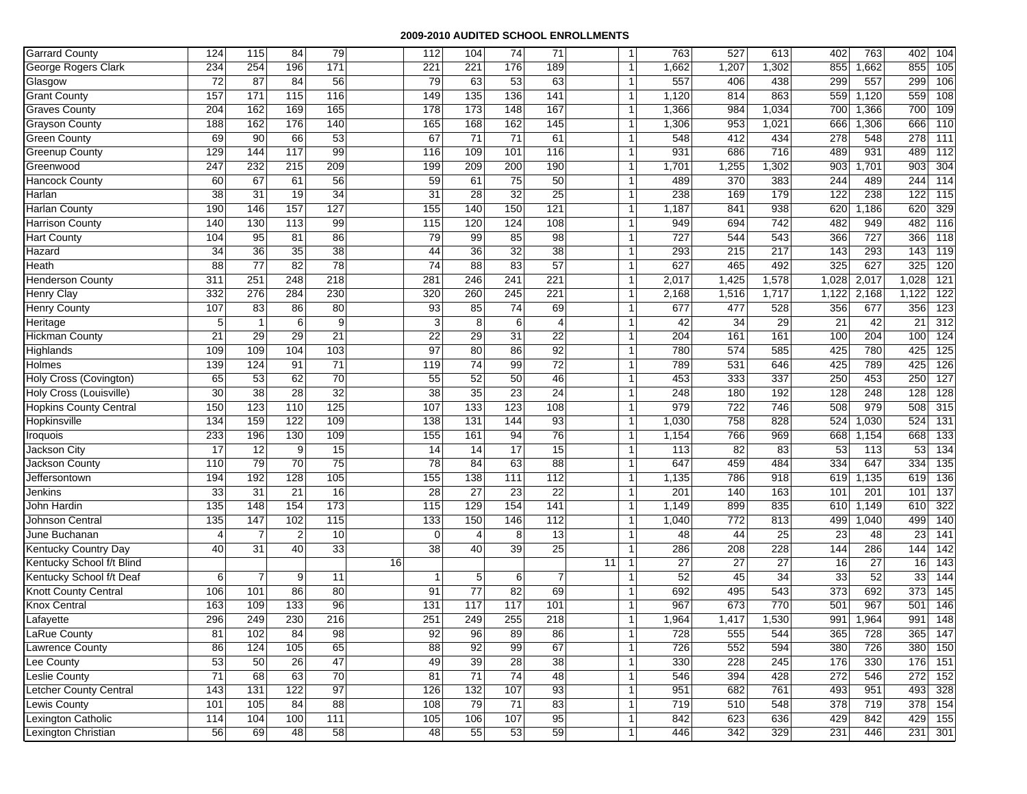| <b>Garrard County</b>                 | 124                  | 115                   | 84                     | 79               |    | 112                            | 104              | 74              | 71                    |    | $\overline{1}$       | 763       | 527       | 613       | 402              | 763             | 402       | 104              |
|---------------------------------------|----------------------|-----------------------|------------------------|------------------|----|--------------------------------|------------------|-----------------|-----------------------|----|----------------------|-----------|-----------|-----------|------------------|-----------------|-----------|------------------|
| George Rogers Clark                   | 234                  | 254                   | 196                    | $\frac{1}{171}$  |    | 221                            | 221              | 176             | 189                   |    | -1                   | 1,662     | 1,207     | 1,302     | 855              | 1,662           | 855       | 105              |
| Glasgow                               | 72                   | $\overline{87}$       | 84                     | 56               |    | 79                             | 63               | 53              | 63                    |    | $\overline{1}$       | 557       | 406       | 438       | 299              | 557             | 299       | 106              |
| <b>Grant County</b>                   | 157                  | 171                   | $\frac{115}{2}$        | 116              |    | 149                            | 135              | 136             | 141                   |    | -1                   | 1,120     | 814       | 863       | 559              | 1,120           | 559       | 108              |
| <b>Graves County</b>                  | 204                  | 162                   | 169                    | 165              |    | 178                            | 173              | 148             | 167                   |    | $\overline{1}$       | 1,366     | 984       | 1,034     | 700              | 1,366           | 700       | 109              |
| <b>Grayson County</b>                 | 188                  | 162                   | 176                    | 140              |    | 165                            | 168              | 162             | 145                   |    | -1                   | 1,306     | 953       | 1,021     | 666              | 1,306           | 666       | 110              |
| <b>Green County</b>                   | 69                   | 90                    | 66                     | 53               |    | 67                             | $\overline{71}$  | $\overline{71}$ | 61                    |    | -1                   | 548       | 412       | 434       | 278              | 548             | 278       | 111              |
| <b>Greenup County</b>                 | 129                  | 144                   | 117                    | 99               |    | 116                            | 109              | 101             | 116                   |    | $\overline{1}$       | 931       | 686       | 716       | 489              | 931             | 489       | 112              |
| Greenwood                             | 247                  | 232                   | 215                    | 209              |    | 199                            | 209              | 200             | 190                   |    | $\overline{1}$       | 1,701     | 1,255     | 1,302     | 903              | 1,701           | 903       | 304              |
| <b>Hancock County</b>                 | 60                   | 67                    | 61                     | 56               |    | 59                             | 61               | $\overline{75}$ | 50                    |    | -1                   | 489       | 370       | 383       | 244              | 489             | 244       | 114              |
| Harlan                                | 38                   | $\overline{31}$       | 19                     | $\overline{34}$  |    | $\overline{31}$                | $\overline{28}$  | $\overline{32}$ | $\overline{25}$       |    | $\overline{1}$       | 238       | 169       | 179       | 122              | 238             | 122       | 115              |
| <b>Harlan County</b>                  | 190                  | 146                   | 157                    | 127              |    | 155                            | 140              | 150             | 121                   |    | $\overline{1}$       | 1,187     | 841       | 938       | 620              | 1,186           | 620       | 329              |
| <b>Harrison County</b>                | 140                  | 130                   | 113                    | 99               |    | 115                            | 120              | 124             | 108                   |    | -1                   | 949       | 694       | 742       | 482              | 949             | 482       | 116              |
| <b>Hart County</b>                    | 104                  | 95                    | 81                     | 86               |    | 79                             | 99               | 85              | 98                    |    | -1                   | 727       | 544       | 543       | 366              | 727             | 366       | $\overline{118}$ |
| Hazard                                | 34                   | $\overline{36}$       | 35                     | $\overline{38}$  |    | 44                             | 36               | 32              | 38                    |    | $\overline{1}$       | 293       | 215       | 217       | 143              | 293             | 143       | 119              |
| Heath                                 | 88                   | $\overline{77}$       | 82                     | 78               |    | $\overline{74}$                | $\overline{88}$  | 83              | 57                    |    | -1                   | 627       | 465       | 492       | 325              | 627             | 325       | 120              |
| <b>Henderson County</b>               | 311                  | 251                   | 248                    | $\overline{218}$ |    | 281                            | 246              | 241             | 221                   |    | $\overline{1}$       | 2,017     | 1,425     | 1,578     | 1,028            | 2,017           | 1,028     | 121              |
| <b>Henry Clay</b>                     | 332                  | 276                   | 284                    | 230              |    | 320                            | 260              | 245             | 221                   |    | $\overline{1}$       | 2,168     | 1,516     | 1,717     | 1,122            | 2,168           | 1,122     | 122              |
| <b>Henry County</b>                   | 107                  | 83                    | 86                     | 80               |    | 93                             | 85               | $\overline{74}$ | 69                    |    | $\overline{1}$       | 677       | 477       | 528       | 356              | 677             | 356       | 123              |
| Heritage                              | 5                    | $\mathbf{1}$          | 6                      | 9                |    | 3                              | 8                | 6               | 4                     |    | $\overline{1}$       | 42        | 34        | 29        | 21               | 42              | 21        | 312              |
| <b>Hickman County</b>                 | 21                   | 29                    | 29                     | 21               |    | 22                             | 29               | 31              | 22                    |    | -1                   | 204       | 161       | 161       | 100              | 204             | 100       | $\overline{124}$ |
| Highlands                             | 109                  | 109                   | 104                    | 103              |    | 97                             | 80               | 86              | 92                    |    | -1                   | 780       | 574       | 585       | 425              | 780             | 425       | $\overline{125}$ |
| Holmes                                | 139                  | 124                   | 91                     | $\overline{71}$  |    | 119                            | 74               | 99              | $\overline{72}$       |    | $\overline{1}$       | 789       | 531       | 646       | 425              | 789             | 425       | 126              |
| Holy Cross (Covington)                | 65                   | 53                    | 62                     | $\overline{70}$  |    | 55                             | 52               | 50              | 46                    |    | -1                   | 453       | 333       | 337       | 250              | 453             | 250       | 127              |
| Holy Cross (Louisville)               | 30                   | 38                    | $\overline{28}$        | $\overline{32}$  |    | 38                             | 35               | $\overline{23}$ | 24                    |    | $\overline{1}$       | 248       | 180       | 192       | 128              | 248             | 128       | 128              |
| <b>Hopkins County Central</b>         | 150                  | 123                   | 110                    | 125              |    | 107                            | $\overline{133}$ | 123             | 108                   |    | $\overline{1}$       | 979       | 722       | 746       | 508              | 979             | 508       | 315              |
| Hopkinsville                          | 134                  | 159                   | 122                    | 109              |    | 138                            | 131              | 144             | 93                    |    | -1                   | 1,030     | 758       | 828       | 524              | 1,030           | 524       | 131              |
| Iroquois                              | 233                  | 196                   | 130                    | 109              |    | 155                            | 161              | 94              | 76                    |    | -1                   | 1,154     | 766       | 969       | 668              | 1,154           | 668       | 133              |
| Jackson City                          | $\overline{17}$      | 12                    | 9                      | 15               |    | 14                             | 14               | $\overline{17}$ | 15                    |    | -1                   | 113       | 82        | 83        | 53               | 113             | 53        | 134              |
| Jackson County                        | 110                  | 79                    | 70                     | 75               |    | 78                             | 84               | 63              | 88                    |    | $\overline{1}$       | 647       | 459       | 484       | 334              | 647             | 334       | 135              |
| Jeffersontown                         | 194                  | 192                   | 128                    | 105              |    | 155                            | 138              | 111             | 112                   |    | $\overline{1}$       | 1,135     | 786       | 918       | 619              | 1,135           | 619       | 136              |
| Jenkins                               | 33                   | $\overline{31}$       | $\overline{21}$        | 16               |    | 28                             | 27               | 23              | 22                    |    | $\overline{1}$       | 201       | 140       | 163       | 101              | 201             | 101       | 137              |
| John Hardin                           | 135                  | 148                   | 154                    | 173              |    | 115                            | 129              | 154             | 141                   |    | $\mathbf{1}$         | 1,149     | 899       | 835       | 610              | 1,149           | 610       | 322              |
| Johnson Central                       | 135                  | 147<br>$\overline{7}$ | 102                    | 115              |    | 133                            | 150              | 146             | 112                   |    | $\overline{1}$<br>-1 | 1,040     | 772       | 813       | 499              | 1,040           | 499       | 140              |
| June Buchanan<br>Kentucky Country Day | $\overline{4}$<br>40 | $\overline{31}$       | $\boldsymbol{2}$<br>40 | 10<br>33         |    | $\mathbf 0$<br>$\overline{38}$ | 4<br>40          | 8<br>39         | 13<br>$\overline{25}$ |    | $\mathbf{1}$         | 48        | 44<br>208 | 25        | 23<br>144        | 48<br>286       | 23        | 141              |
| Kentucky School f/t Blind             |                      |                       |                        |                  | 16 |                                |                  |                 |                       | 11 |                      | 286<br>27 | 27        | 228<br>27 | 16               | $\overline{27}$ | 144<br>16 | 142              |
| Kentucky School f/t Deaf              | 6                    | $\overline{7}$        | 9                      |                  |    | $\mathbf 1$                    | $5\phantom{.0}$  |                 | 7                     |    |                      | 52        | 45        | 34        | 33               | 52              | 33        | 143              |
| <b>Knott County Central</b>           | 106                  | 101                   | 86                     | 11<br>80         |    | 91                             | 77               | 6<br>82         | 69                    |    | -1                   | 692       | 495       | 543       | $\overline{373}$ | 692             | 373       | 144<br>145       |
| <b>Knox Central</b>                   | 163                  | 109                   | 133                    | 96               |    | 131                            | 117              | 117             | 101                   |    |                      | 967       | 673       | 770       | 501              | 967             | 501       | 146              |
| Lafayette                             | 296                  | 249                   | 230                    | 216              |    | 251                            | 249              | 255             | 218                   |    | -1                   | 1,964     | 1,417     | 1,530     | 991              | 1,964           | 991       | 148              |
| LaRue County                          | 81                   | 102                   | 84                     | 98               |    | 92                             | 96               | 89              | 86                    |    | 1                    | 728       | 555       | 544       | 365              | 728             | 365       | 147              |
| Lawrence County                       | 86                   | 124                   | 105                    | 65               |    | 88                             | 92               | 99              | 67                    |    | $\overline{1}$       | 726       | 552       | 594       | 380              | 726             |           | 380 150          |
| Lee County                            | 53                   | 50                    | 26                     | 47               |    | 49                             | 39               | 28              | 38                    |    | -1                   | 330       | 228       | 245       | 176              | 330             | 176 151   |                  |
| <b>Leslie County</b>                  | $\overline{71}$      | 68                    | 63                     | 70               |    | 81                             | 71               | 74              | 48                    |    | $\overline{1}$       | 546       | 394       | 428       | 272              | 546             |           | 272 152          |
| Letcher County Central                | 143                  | $\overline{131}$      | 122                    | 97               |    | 126                            | 132              | 107             | 93                    |    | $\overline{1}$       | 951       | 682       | 761       | 493              | 951             | 493       | 328              |
| Lewis County                          | 101                  | 105                   | 84                     | 88               |    | 108                            | 79               | 71              | 83                    |    | $\overline{1}$       | 719       | 510       | 548       | 378              | 719             |           | 378 154          |
| Lexington Catholic                    | 114                  | 104                   | 100                    | 111              |    | 105                            | 106              | 107             | 95                    |    | 1                    | 842       | 623       | 636       | 429              | 842             |           | 429 155          |
| Lexington Christian                   | 56                   | 69                    | 48                     | 58               |    | 48                             | 55               | 53              | 59                    |    | -1                   | 446       | 342       | 329       | 231              | 446             |           | 231 301          |
|                                       |                      |                       |                        |                  |    |                                |                  |                 |                       |    |                      |           |           |           |                  |                 |           |                  |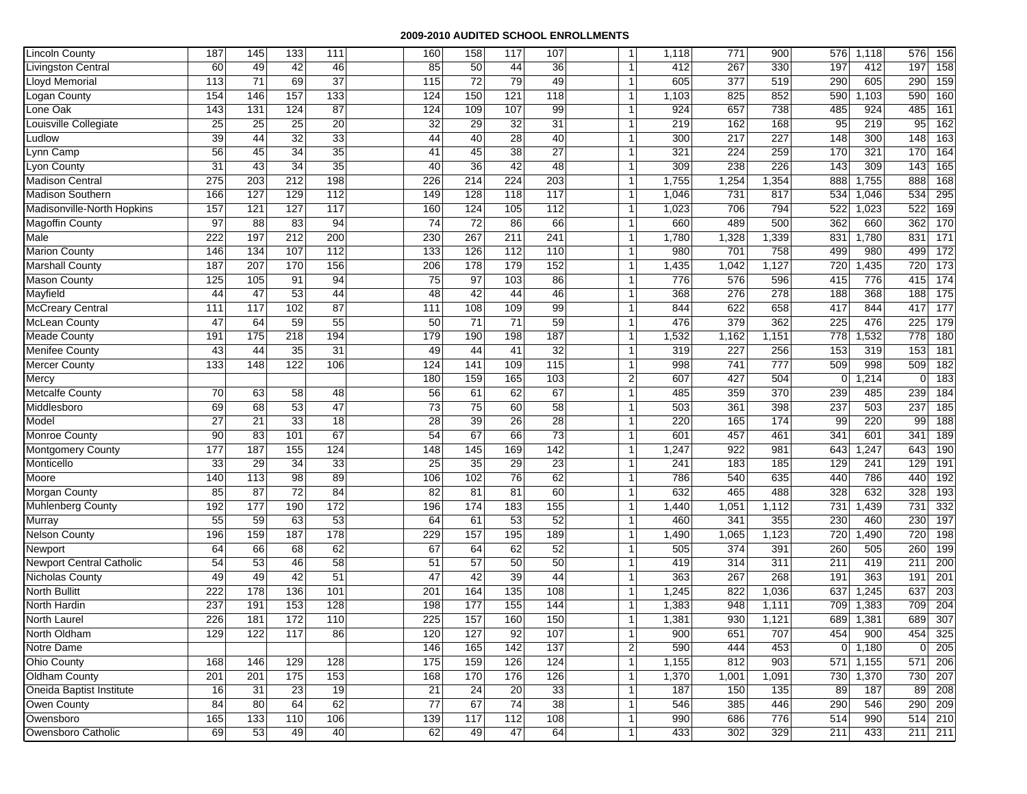| <b>Lincoln County</b>         | 187              | 145              | 133              | 111             | 160             | 158             | 117             | 107             | $\overline{1}$                   | 1,118      | 771              | 900                     | 576                | 1,118      | 576            | 156              |
|-------------------------------|------------------|------------------|------------------|-----------------|-----------------|-----------------|-----------------|-----------------|----------------------------------|------------|------------------|-------------------------|--------------------|------------|----------------|------------------|
| <b>Livingston Central</b>     | 60               | 49               | 42               | 46              | 85              | 50              | 44              | 36              | $\mathbf{1}$                     | 412        | 267              | 330                     | 197                | 412        | 197            | 158              |
| <b>Lloyd Memorial</b>         | 113              | 71               | 69               | $\overline{37}$ | 115             | $\overline{72}$ | 79              | 49              | $\overline{1}$                   | 605        | $\overline{377}$ | 519                     | 290                | 605        | 290            | 159              |
| ogan County                   | 154              | 146              | 157              | 133             | 124             | 150             | 121             | 118             | $\overline{1}$                   | 1,103      | 825              | 852                     | 590                | 1,103      | 590            | 160              |
| one Oak                       | 143              | $\overline{131}$ | 124              | 87              | 124             | 109             | 107             | 99              | $\mathbf{1}$                     | 924        | 657              | 738                     | 485                | 924        | 485            | 161              |
| Louisville Collegiate         | 25               | 25               | 25               | $\overline{20}$ | 32              | 29              | 32              | 31              | $\overline{1}$                   | 219        | 162              | 168                     | 95                 | 219        | 95             | 162              |
| Ludlow                        | 39               | 44               | 32               | 33              | 44              | 40              | 28              | 40              | -1                               | 300        | 217              | 227                     | 148                | 300        | 148            | 163              |
| Lynn Camp                     | 56               | 45               | $\overline{34}$  | 35              | 41              | 45              | 38              | 27              | $\overline{1}$                   | 321        | 224              | 259                     | 170                | 321        | 170            | 164              |
| Lyon County                   | 31               | 43               | 34               | 35              | 40              | 36              | 42              | 48              | $\overline{1}$                   | 309        | 238              | 226                     | 143                | 309        | 143            | 165              |
| <b>Madison Central</b>        | $\overline{275}$ | 203              | 212              | 198             | 226             | 214             | 224             | 203             | -1                               | 1,755      | 1,254            | 1,354                   | 888                | 1,755      | 888            | 168              |
| <b>Madison Southern</b>       | 166              | 127              | 129              | 112             | 149             | 128             | 118             | 117             | $\overline{1}$                   | 1,046      | 731              | 817                     | 534                | 1,046      | 534            | 295              |
| Madisonville-North Hopkins    | 157              | 121              | 127              | 117             | 160             | 124             | 105             | 112             | $\overline{1}$                   | 1,023      | 706              | 794                     | 522                | 1,023      | 522            | 169              |
| Magoffin County               | 97               | 88               | 83               | 94              | 74              | $\overline{72}$ | 86              | 66              | -1                               | 660        | 489              | 500                     | 362                | 660        | 362            | 170              |
| Male                          | 222              | 197              | 212              | 200             | 230             | 267             | 211             | 241             | $\overline{1}$                   | 1,780      | 1,328            | 1,339                   | 831                | 1,780      | 831            | $\overline{171}$ |
| <b>Marion County</b>          | 146              | 134              | 107              | 112             | 133             | 126             | 112             | 110             | $\overline{1}$                   | 980        | 701              | 758                     | 499                | 980        | 499            | 172              |
| <b>Marshall County</b>        | 187              | 207              | 170              | 156             | 206             | 178             | 179             | 152             | -1                               | 1,435      | 1,042            | 1,127                   | 720                | 1,435      | 720            | 173              |
| <b>Mason County</b>           | 125              | 105              | 91               | 94              | 75              | 97              | 103             | 86              | $\overline{1}$                   | 776        | 576              | 596                     | 415                | 776        | 415            | 174              |
| Mayfield                      | 44               | 47               | 53               | 44              | 48              | 42              | 44              | 46              | $\overline{1}$<br>$\overline{1}$ | 368        | 276              | 278                     | 188                | 368<br>844 | 188            | 175              |
| <b>McCreary Central</b>       | 111              | 117              | 102              | 87              | 111             | 108             | 109             | 99              | $\overline{1}$                   | 844        | 622              | 658                     | 417                |            | 417            | 177              |
| <b>McLean County</b>          | 47               | 64               | 59               | 55<br>194       | 50              | 71              | 71              | 59              |                                  | 476        | 379              | 362                     | 225                | 476        | 225            | 179              |
| <b>Meade County</b>           | 191              | 175              | $\overline{218}$ |                 | 179             | 190             | 198             | 187             | -1<br>$\overline{1}$             | 1,532      | 1,162            | 1,151                   | 778                | 1,532      | 778            | 180              |
| <b>Menifee County</b>         | 43<br>133        | 44<br>148        | 35<br>122        | 31<br>106       | 49<br>124       | 44<br>141       | 41<br>109       | 32<br>115       | $\overline{1}$                   | 319<br>998 | 227<br>741       | 256<br>$\overline{777}$ | 153                | 319<br>998 | 153<br>509     | 181<br>182       |
| <b>Mercer County</b><br>Mercy |                  |                  |                  |                 | 180             | 159             | 165             | 103             | $\overline{2}$                   | 607        | 427              | 504                     | 509<br>$\mathbf 0$ | 1,214      | 0              | 183              |
| <b>Metcalfe County</b>        | 70               | 63               | 58               | 48              | 56              | 61              | 62              | 67              | $\overline{1}$                   | 485        | 359              | 370                     | 239                | 485        | 239            | 184              |
| Middlesboro                   | 69               | 68               | 53               | 47              | 73              | 75              | 60              | 58              | $\overline{1}$                   | 503        | 361              | 398                     | 237                | 503        | 237            | 185              |
| Model                         | 27               | 21               | 33               | 18              | 28              | 39              | 26              | $\overline{28}$ | -1                               | 220        | 165              | 174                     | 99                 | 220        | 99             | 188              |
| Monroe County                 | 90               | 83               | 101              | 67              | 54              | 67              | 66              | $\overline{73}$ | -1                               | 601        | 457              | 461                     | 341                | 601        | 341            | 189              |
| Montgomery County             | 177              | 187              | 155              | 124             | 148             | 145             | 169             | 142             | -1                               | 1,247      | 922              | 981                     | 643                | 1,247      | 643            | 190              |
| Monticello                    | 33               | 29               | 34               | 33              | 25              | 35              | 29              | 23              | $\overline{1}$                   | 241        | 183              | 185                     | 129                | 241        | 129            | 191              |
| Moore                         | 140              | 113              | 98               | 89              | 106             | 102             | 76              | 62              | $\overline{1}$                   | 786        | 540              | 635                     | 440                | 786        | 440            | 192              |
| <b>Morgan County</b>          | 85               | 87               | $\overline{72}$  | 84              | 82              | 81              | $\overline{81}$ | 60              | $\overline{1}$                   | 632        | 465              | 488                     | 328                | 632        | 328            | 193              |
| <b>Muhlenberg County</b>      | 192              | 177              | 190              | 172             | 196             | 174             | 183             | 155             | $\overline{1}$                   | 1,440      | 1,051            | 1,112                   | 731                | 1,439      | 731            | 332              |
| Murray                        | 55               | 59               | 63               | 53              | 64              | 61              | 53              | 52              | $\overline{1}$                   | 460        | 341              | 355                     | 230                | 460        | 230            | 197              |
| <b>Nelson County</b>          | 196              | 159              | 187              | 178             | 229             | 157             | 195             | 189             | -1                               | 1,490      | 1,065            | 1,123                   | 720                | 1,490      | 720            | 198              |
| Newport                       | 64               | 66               | 68               | 62              | 67              | 64              | 62              | 52              | $\overline{1}$                   | 505        | 374              | 391                     | 260                | 505        | 260            | 199              |
| Newport Central Catholic      | 54               | 53               | 46               | $\overline{58}$ | 51              | $\overline{57}$ | 50              | 50              | $\mathbf{1}$                     | 419        | 314              | 311                     | 211                | 419        | 211            | 200              |
| Nicholas County               | 49               | 49               | 42               | 51              | 47              | 42              | 39              | 44              | -1                               | 363        | 267              | 268                     | 191                | 363        | 191            | 201              |
| <b>North Bullitt</b>          | 222              | 178              | 136              | 101             | 201             | 164             | 135             | 108             | $\overline{1}$                   | 1,245      | 822              | 1,036                   | 637                | 1,245      | 637            | 203              |
| North Hardin                  | 237              | 191              | 153              | 128             | 198             | 177             | 155             | 144             | $\overline{1}$                   | 1,383      | 948              | 1,111                   | 709                | 1,383      | 709            | 204              |
| <b>North Laurel</b>           | 226              | 181              | 172              | 110             | 225             | 157             | 160             | 150             | -1                               | 1,381      | 930              | 1,121                   | 689                | 1,381      | 689            | 307              |
| North Oldham                  | 129              | 122              | 117              | 86              | 120             | 127             | 92              | 107             | 1                                | 900        | 651              | 707                     | 454                | 900        | 454            | 325              |
| Notre Dame                    |                  |                  |                  |                 | 146             | 165             | 142             | 137             | $\overline{2}$                   | 590        | 444              | 453                     | $\mathbf{0}$       | 1,180      | $\overline{0}$ | 205              |
| Ohio County                   | 168              | 146              | 129              | 128             | 175             | 159             | 126             | 124             | $\overline{1}$                   | 1,155      | 812              | 903                     | 571                | 1,155      | 571            | 206              |
| Oldham County                 | 201              | 201              | 175              | 153             | 168             | 170             | 176             | 126             | $\mathbf{1}$                     | 1,370      | 1,001            | 1,091                   | 730                | 1,370      | 730            | 207              |
| Oneida Baptist Institute      | 16               | $\overline{31}$  | 23               | 19              | $\overline{21}$ | 24              | 20              | 33              | $\overline{1}$                   | 187        | 150              | 135                     | 89                 | 187        | 89             | 208              |
| Owen County                   | 84               | 80               | 64               | 62              | $\overline{77}$ | 67              | $\overline{74}$ | 38              | $\overline{1}$                   | 546        | 385              | 446                     | 290                | 546        | 290            | 209              |
| Owensboro                     | 165              | 133              | 110              | 106             | 139             | 117             | 112             | 108             | 1                                | 990        | 686              | 776                     | 514                | 990        | 514 210        |                  |
| Owensboro Catholic            | 69               | 53               | 49               | 40              | 62              | 49              | 47              | 64              | -1                               | 433        | 302              | 329                     | 211                | 433        | 211 211        |                  |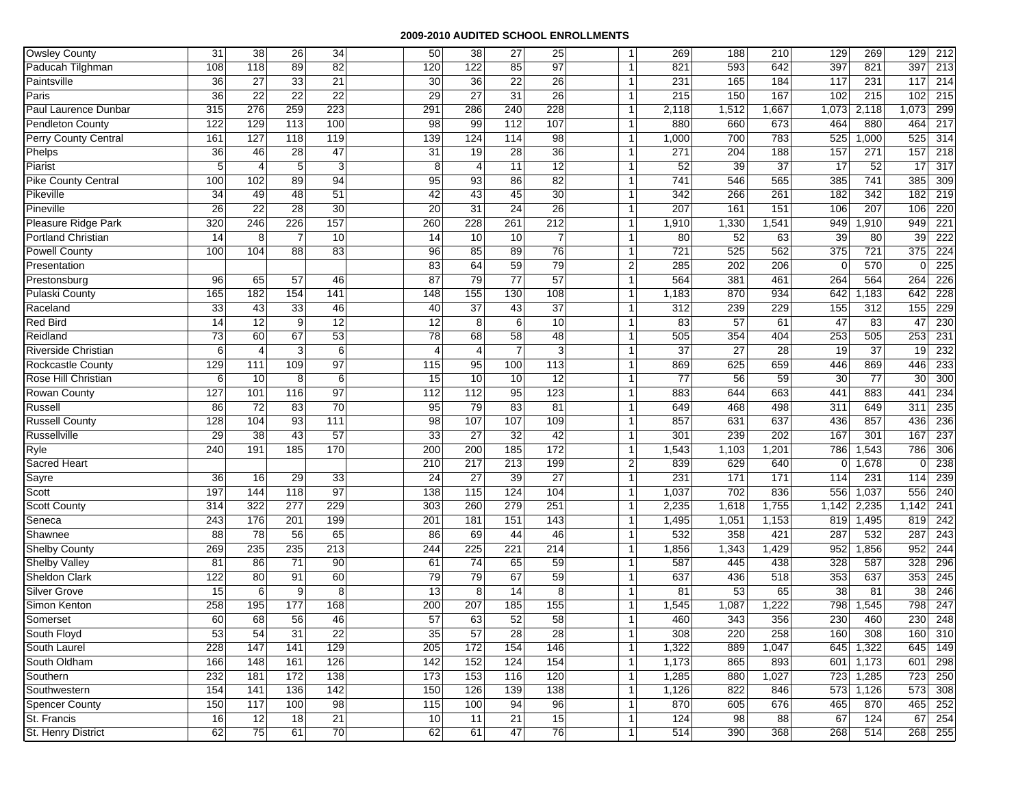| <b>Owsley County</b>       | 31  | 38              | 26              | $\overline{34}$ | 50              | 38              | 27              | 25              | $\mathbf{1}$            | 269   | 188   | 210   | 129             | 269             | 129         | 212              |
|----------------------------|-----|-----------------|-----------------|-----------------|-----------------|-----------------|-----------------|-----------------|-------------------------|-------|-------|-------|-----------------|-----------------|-------------|------------------|
| Paducah Tilghman           | 108 | 118             | 89              | 82              | 120             | 122             | 85              | 97              | $\mathbf{1}$            | 821   | 593   | 642   | 397             | 821             | 397         | 213              |
| Paintsville                | 36  | $\overline{27}$ | 33              | 21              | 30              | 36              | 22              | $\overline{26}$ | $\overline{1}$          | 231   | 165   | 184   | 117             | 231             | 117         | 214              |
| Paris                      | 36  | $\overline{22}$ | $\overline{22}$ | $\overline{22}$ | 29              | 27              | $\overline{31}$ | 26              | -1                      | 215   | 150   | 167   | 102             | 215             | 102         | 215              |
| Paul Laurence Dunbar       | 315 | 276             | 259             | 223             | 291             | 286             | 240             | 228             | $\mathbf{1}$            | 2,118 | 1,512 | 1,667 | 1,073           | 2,118           | 1,073       | 299              |
| <b>Pendleton County</b>    | 122 | 129             | 113             | 100             | 98              | 99              | 112             | 107             | $\overline{1}$          | 880   | 660   | 673   | 464             | 880             | 464         | 217              |
| Perry County Central       | 161 | 127             | 118             | 119             | 139             | 124             | 114             | $\overline{98}$ | -1                      | 1,000 | 700   | 783   | 525             | 1,000           | 525         | 314              |
| Phelps                     | 36  | 46              | 28              | 47              | $\overline{31}$ | 19              | 28              | $\overline{36}$ | $\overline{1}$          | 271   | 204   | 188   | 157             | 271             | 157         | 218              |
| Piarist                    | 5   | 4               | 5               | 3               | 8               | $\overline{4}$  | $\overline{11}$ | 12              | $\mathbf{1}$            | 52    | 39    | 37    | 17              | 52              | 17          | 317              |
| <b>Pike County Central</b> | 100 | 102             | 89              | 94              | 95              | 93              | 86              | 82              | -1                      | 741   | 546   | 565   | 385             | 741             | 385         | 309              |
| Pikeville                  | 34  | 49              | 48              | 51              | 42              | 43              | 45              | 30              | -1                      | 342   | 266   | 261   | 182             | 342             | 182         | 219              |
| Pineville                  | 26  | $\overline{22}$ | $\overline{28}$ | 30              | 20              | 31              | $\overline{24}$ | $\overline{26}$ | $\overline{1}$          | 207   | 161   | 151   | 106             | 207             | 106         | 220              |
| Pleasure Ridge Park        | 320 | 246             | 226             | 157             | 260             | 228             | 261             | 212             | $\overline{1}$          | 1,910 | 1,330 | 1,541 | 949             | 1,910           | 949         | $\overline{221}$ |
| Portland Christian         | 14  | 8               | $\overline{7}$  | 10              | 14              | 10              | 10              | $\overline{7}$  | $\overline{1}$          | 80    | 52    | 63    | 39              | 80              | 39          | 222              |
| <b>Powell County</b>       | 100 | 104             | 88              | 83              | 96              | 85              | 89              | 76              | $\overline{1}$          | 721   | 525   | 562   | 375             | 721             | 375         | 224              |
| Presentation               |     |                 |                 |                 | 83              | 64              | 59              | 79              | $\overline{2}$          | 285   | 202   | 206   | $\mathbf 0$     | 570             | $\mathbf 0$ | 225              |
| Prestonsburg               | 96  | 65              | 57              | 46              | 87              | 79              | $\overline{77}$ | 57              | $\overline{1}$          | 564   | 381   | 461   | 264             | 564             | 264         | 226              |
| Pulaski County             | 165 | 182             | 154             | 141             | 148             | 155             | 130             | 108             | -1                      | 1,183 | 870   | 934   | 642             | 1,183           | 642         | 228              |
| Raceland                   | 33  | 43              | 33              | 46              | 40              | 37              | 43              | 37              | $\overline{1}$          | 312   | 239   | 229   | 155             | 312             | 155         | 229              |
| <b>Red Bird</b>            | 14  | 12              | 9               | 12              | 12              | 8               | 6               | 10              | $\mathbf{1}$            | 83    | 57    | 61    | 47              | 83              | 47          | 230              |
| Reidland                   | 73  | 60              | 67              | 53              | 78              | 68              | 58              | 48              | -1                      | 505   | 354   | 404   | 253             | 505             | 253         | 231              |
| <b>Riverside Christian</b> | 6   | 4               | 3               | $\,6\,$         | $\overline{4}$  | $\overline{4}$  | $\overline{7}$  | 3               | -1                      | 37    | 27    | 28    | 19              | 37              | 19          | 232              |
| <b>Rockcastle County</b>   | 129 | 111             | 109             | 97              | 115             | 95              | 100             | 113             | $\overline{1}$          | 869   | 625   | 659   | 446             | 869             | 446         | 233              |
| Rose Hill Christian        | 6   | 10              | 8               | 6               | 15              | 10              | 10              | 12              | -1                      | 77    | 56    | 59    | 30              | $\overline{77}$ | 30          | 300              |
| <b>Rowan County</b>        | 127 | 101             | 116             | 97              | 112             | 112             | 95              | 123             | $\overline{1}$          | 883   | 644   | 663   | 441             | 883             | 441         | 234              |
| Russell                    | 86  | 72              | 83              | $\overline{70}$ | 95              | 79              | 83              | 81              | -1                      | 649   | 468   | 498   | 311             | 649             | 311         | 235              |
| <b>Russell County</b>      | 128 | 104             | 93              | 111             | 98              | 107             | 107             | 109             | -1                      | 857   | 631   | 637   | 436             | 857             | 436         | 236              |
| Russellville               | 29  | $\overline{38}$ | 43              | 57              | 33              | 27              | 32              | 42              | $\overline{1}$          | 301   | 239   | 202   | 167             | 301             | 167         | 237              |
| Ryle                       | 240 | 191             | 185             | 170             | 200             | 200             | 185             | 172             | -1                      | 1,543 | 1,103 | 1,201 | 786             | 1,543           | 786         | 306              |
| Sacred Heart               |     |                 |                 |                 | 210             | 217             | 213             | 199             | $\overline{\mathbf{c}}$ | 839   | 629   | 640   | $\mathbf 0$     | 1,678           | 0           | 238              |
| Sayre                      | 36  | 16              | 29              | 33              | $\overline{24}$ | 27              | 39              | 27              | $\overline{1}$          | 231   | 171   | 171   | 114             | 231             | 114         | 239              |
| Scott                      | 197 | 144             | 118             | $\overline{97}$ | 138             | 115             | 124             | 104             | -1                      | 1,037 | 702   | 836   | 556             | 1,037           | 556         | 240              |
| <b>Scott County</b>        | 314 | 322             | 277             | 229             | 303             | 260             | 279             | 251             | $\overline{1}$          | 2,235 | 1,618 | 1,755 | 1,142           | 2,235           | 1,142       | 241              |
| Seneca                     | 243 | 176             | 201             | 199             | 201             | 181             | 151             | 143             | $\overline{1}$          | 1,495 | 1,051 | 1,153 | 819             | 1,495           | 819         | 242              |
| Shawnee                    | 88  | $\overline{78}$ | 56              | 65              | 86              | 69              | 44              | 46              | $\mathbf{1}$            | 532   | 358   | 421   | 287             | 532             | 287         | 243              |
| Shelby County              | 269 | 235             | 235             | 213             | 244             | 225             | 221             | 214             | $\overline{1}$          | 1,856 | 1,343 | 1,429 | 952             | 1,856           | 952         | 244              |
| <b>Shelby Valley</b>       | 81  | 86              | $\overline{71}$ | 90              | 61              | $\overline{74}$ | 65              | 59              | $\overline{1}$          | 587   | 445   | 438   | 328             | 587             | 328         | 296              |
| <b>Sheldon Clark</b>       | 122 | 80              | 91              | 60              | 79              | 79              | 67              | 59              | $\mathbf{1}$            | 637   | 436   | 518   | 353             | 637             | 353         | 245              |
| <b>Silver Grove</b>        | 15  | 6               | 9               | 8               | $\overline{13}$ | 8               | $\overline{14}$ | 8               | $\overline{1}$          | 81    | 53    | 65    | $\overline{38}$ | 81              | 38          | 246              |
| Simon Kenton               | 258 | 195             | 177             | 168             | 200             | 207             | 185             | 155             | -1                      | 1,545 | 1,087 | ,222  | 798             | ,545            | 798         | 247              |
| Somerset                   | 60  | 68              | 56              | 46              | 57              | 63              | 52              | 58              | $\mathbf{1}$            | 460   | 343   | 356   | 230             | 460             | 230         | 248              |
| South Floyd                | 53  | 54              | $\overline{31}$ | $\overline{22}$ | 35              | 57              | $\overline{28}$ | 28              | 1                       | 308   | 220   | 258   | 160             | 308             | 160         | 310              |
| South Laurel               | 228 | 147             | 141             | 129             | 205             | 172             | 154             | 146             | $\overline{1}$          | 1,322 | 889   | 1,047 | 645             | 1,322           |             | 645 149          |
| South Oldham               | 166 | 148             | 161             | 126             | 142             | 152             | 124             | 154             | $\mathbf{1}$            | 1,173 | 865   | 893   | 601             | 1,173           | 601         | 298              |
| Southern                   | 232 | 181             | 172             | 138             | 173             | 153             | 116             | 120             | $\overline{1}$          | 1,285 | 880   | 1,027 | 723             | 1,285           | 723         | 250              |
| Southwestern               | 154 | 141             | 136             | 142             | 150             | 126             | 139             | 138             | -1                      | 1,126 | 822   | 846   | 573             | 1,126           | 573         | 308              |
| Spencer County             | 150 | 117             | 100             | 98              | 115             | 100             | 94              | 96              | $\overline{1}$          | 870   | 605   | 676   | 465             | 870             |             | 465 252          |
| St. Francis                | 16  | 12              | 18              | 21              | 10              | 11              | 21              | 15              | $\mathbf{1}$            | 124   | 98    | 88    | 67              | 124             |             | 67 254           |
| St. Henry District         | 62  | 75              | 61              | 70              | 62              | 61              | 47              | 76              | $\overline{1}$          | 514   | 390   | 368   | 268             | 514             |             | 268 255          |